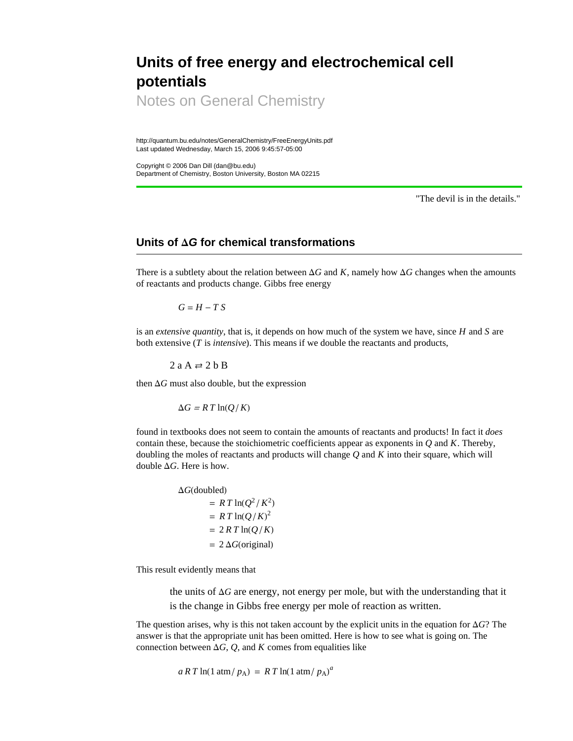## **Units of free energy and electrochemical cell potentials**

Notes on General Chemistry

http://quantum.bu.edu/notes/GeneralChemistry/FreeEnergyUnits.pdf Last updated Wednesday, March 15, 2006 9:45:57-05:00

Copyright © 2006 Dan Dill (dan@bu.edu) Department of Chemistry, Boston University, Boston MA 02215

"The devil is in the details."

## **Units of D***G* **for chemical transformations**

There is a subtlety about the relation between  $\Delta G$  and *K*, namely how  $\Delta G$  changes when the amounts of reactants and products change. Gibbs free energy

 $G = H - T S$ 

is an *extensive quantity*, that is, it depends on how much of the system we have, since *H* and *S* are both extensive (*T* is *intensive*). This means if we double the reactants and products,

 $2$  a A  $\rightleftharpoons$  2 b B

then  $\Delta G$  must also double, but the expression

 $\Delta G = R T \ln(Q/K)$ 

found in textbooks does not seem to contain the amounts of reactants and products! In fact it *does* contain these, because the stoichiometric coefficients appear as exponents in  $Q$  and  $K$ . Thereby, doubling the moles of reactants and products will change *Q* and *K* into their square, which will double  $\Delta G$ . Here is how.

> $\Delta G$ (doubled)  $= R T \ln(Q^2/K^2)$  $= R T \ln(Q/K)^2$  $= 2 RT \ln(Q/K)$  $= 2 \Delta G$ (original)

This result evidently means that

the units of  $\Delta G$  are energy, not energy per mole, but with the understanding that it is the change in Gibbs free energy per mole of reaction as written.

The question arises, why is this not taken account by the explicit units in the equation for  $\Delta G$ ? The answer is that the appropriate unit has been omitted. Here is how to see what is going on. The connection between  $\Delta G$ , *Q*, and *K* comes from equalities like

 $a \, R \, T \ln(1 \, \text{atm} / p_A) = R \, T \ln(1 \, \text{atm} / p_A)^a$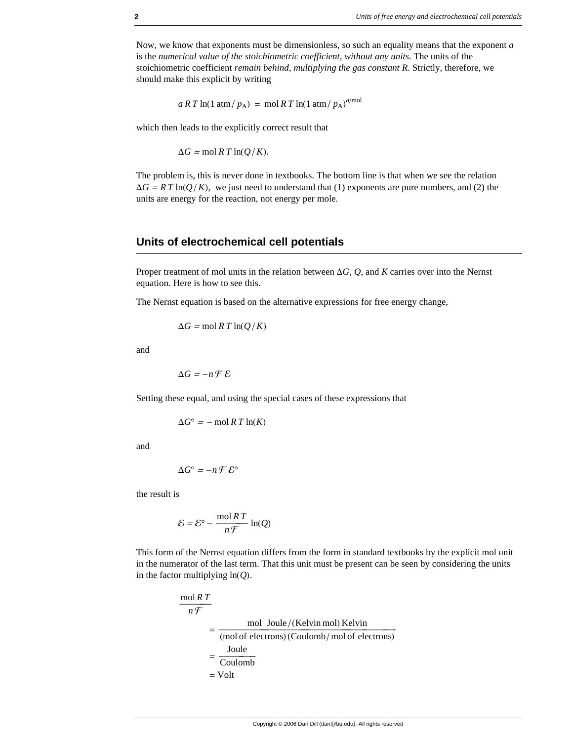Now, we know that exponents must be dimensionless, so such an equality means that the exponent *a* is the *numerical value of the stoichiometric coefficient, without any units*. The units of the stoichiometric coefficient *remain behind, multiplying the gas constant R*. Strictly, therefore, we should make this explicit by writing

 $aRT \ln(1 \text{ atm}/p_A) = \text{mol } RT \ln(1 \text{ atm}/p_A)^{a/\text{mol}}$ 

which then leads to the explicitly correct result that

 $\Delta G = \text{mol } R T \ln(Q/K)$ .

The problem is, this is never done in textbooks. The bottom line is that when we see the relation  $\Delta G = R T \ln(Q/K)$ , we just need to understand that (1) exponents are pure numbers, and (2) the units are energy for the reaction, not energy per mole.

## **Units of electrochemical cell potentials**

Proper treatment of mol units in the relation between  $\Delta G$ , *Q*, and *K* carries over into the Nernst equation. Here is how to see this.

The Nernst equation is based on the alternative expressions for free energy change,

$$
\Delta G = \text{mol } R \, T \ln(Q/K)
$$

and

 $\Delta G = -n \mathcal{F} \mathcal{E}$ 

Setting these equal, and using the special cases of these expressions that

 $\Delta G^{\circ}$  = - mol *R T* ln(*K*)

and

$$
\Delta G^\circ = -n \mathcal{F} \mathcal{E}^\circ
$$

the result is

$$
\mathcal{E} = \mathcal{E}^{\circ} - \frac{\text{mol }RT}{n\mathcal{F}} \ln(Q)
$$

This form of the Nernst equation differs from the form in standard textbooks by the explicit mol unit in the numerator of the last term. That this unit must be present can be seen by considering the units in the factor multiplying  $ln(Q)$ .

$$
\frac{\text{mol }RT}{n\mathcal{F}}
$$
\n
$$
= \frac{\text{mol Joule } / (\text{Kelvin mol}) \text{ Kelvin}}{\text{(mol of electrons)} (\text{Coulomb } / \text{mol of electrons)}}
$$
\n
$$
= \frac{\text{Joule}}{\text{Coulomb}}
$$
\n
$$
= \text{Volt}
$$